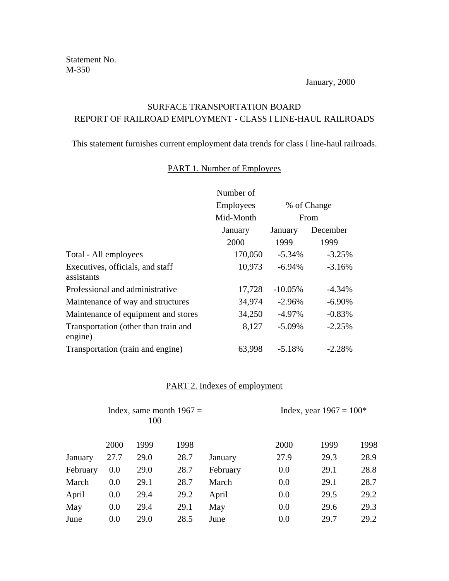January, 2000

## SURFACE TRANSPORTATION BOARD REPORT OF RAILROAD EMPLOYMENT - CLASS I LINE-HAUL RAILROADS

This statement furnishes current employment data trends for class I line-haul railroads.

## PART 1. Number of Employees

|                                                 | Number of        |             |          |
|-------------------------------------------------|------------------|-------------|----------|
|                                                 | <b>Employees</b> | % of Change |          |
|                                                 | Mid-Month        |             | From     |
|                                                 | January          | January     | December |
|                                                 | 2000             | 1999        | 1999     |
| Total - All employees                           | 170,050          | $-5.34%$    | $-3.25%$ |
| Executives, officials, and staff<br>assistants  | 10,973           | $-6.94\%$   | $-3.16%$ |
| Professional and administrative                 | 17,728           | $-10.05%$   | $-4.34%$ |
| Maintenance of way and structures               | 34,974           | $-2.96%$    | $-6.90%$ |
| Maintenance of equipment and stores             | 34,250           | $-4.97\%$   | $-0.83%$ |
| Transportation (other than train and<br>engine) | 8,127            | $-5.09%$    | $-2.25%$ |
| Transportation (train and engine)               | 63,998           | $-5.18%$    | $-2.28%$ |

## PART 2. Indexes of employment

|          | Index, same month $1967 =$<br>100 |      |      | Index, year $1967 = 100*$ |      |      |      |  |
|----------|-----------------------------------|------|------|---------------------------|------|------|------|--|
|          | 2000                              | 1999 | 1998 |                           | 2000 | 1999 | 1998 |  |
| January  | 27.7                              | 29.0 | 28.7 | January                   | 27.9 | 29.3 | 28.9 |  |
| February | 0.0                               | 29.0 | 28.7 | February                  | 0.0  | 29.1 | 28.8 |  |
| March    | 0.0                               | 29.1 | 28.7 | March                     | 0.0  | 29.1 | 28.7 |  |
| April    | 0.0                               | 29.4 | 29.2 | April                     | 0.0  | 29.5 | 29.2 |  |
| May      | 0.0                               | 29.4 | 29.1 | May                       | 0.0  | 29.6 | 29.3 |  |
| June     | 0.0                               | 29.0 | 28.5 | June                      | 0.0  | 29.7 | 29.2 |  |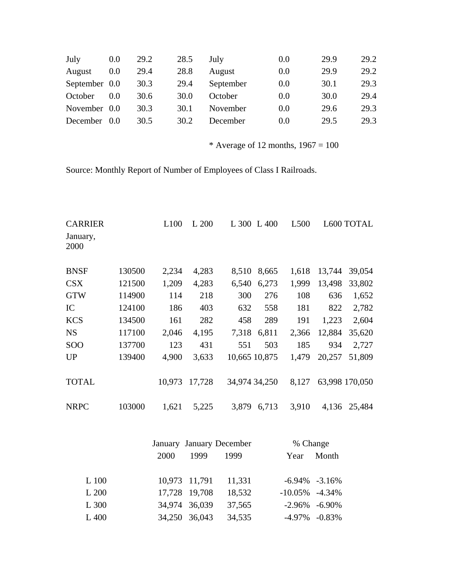| July          | 0.0 | 29.2 | 28.5 | July      | 0.0 | 29.9 | 29.2 |
|---------------|-----|------|------|-----------|-----|------|------|
| August        | 0.0 | 29.4 | 28.8 | August    | 0.0 | 29.9 | 29.2 |
| September 0.0 |     | 30.3 | 29.4 | September | 0.0 | 30.1 | 29.3 |
| October       | 0.0 | 30.6 | 30.0 | October   | 0.0 | 30.0 | 29.4 |
| November 0.0  |     | 30.3 | 30.1 | November  | 0.0 | 29.6 | 29.3 |
| December      | 0.0 | 30.5 | 30.2 | December  | 0.0 | 29.5 | 29.3 |

\* Average of 12 months,  $1967 = 100$ 

Source: Monthly Report of Number of Employees of Class I Railroads.

| <b>CARRIER</b><br>January,<br>2000 |        | L100   | L 200  |               | L 300 L 400 | L <sub>500</sub> |        | L600 TOTAL     |
|------------------------------------|--------|--------|--------|---------------|-------------|------------------|--------|----------------|
| <b>BNSF</b>                        | 130500 | 2,234  | 4,283  | 8,510         | 8,665       | 1,618            | 13,744 | 39,054         |
| <b>CSX</b>                         | 121500 | 1,209  | 4,283  | 6,540         | 6,273       | 1,999            | 13,498 | 33,802         |
| <b>GTW</b>                         | 114900 | 114    | 218    | 300           | 276         | 108              | 636    | 1,652          |
| IC                                 | 124100 | 186    | 403    | 632           | 558         | 181              | 822    | 2,782          |
| <b>KCS</b>                         | 134500 | 161    | 282    | 458           | 289         | 191              | 1,223  | 2,604          |
| <b>NS</b>                          | 117100 | 2,046  | 4,195  | 7,318         | 6,811       | 2,366            | 12,884 | 35,620         |
| <b>SOO</b>                         | 137700 | 123    | 431    | 551           | 503         | 185              | 934    | 2,727          |
| <b>UP</b>                          | 139400 | 4,900  | 3,633  | 10,665 10,875 |             | 1,479            | 20,257 | 51,809         |
| <b>TOTAL</b>                       |        | 10,973 | 17,728 | 34,974 34,250 |             | 8,127            |        | 63,998 170,050 |
| <b>NRPC</b>                        | 103000 | 1,621  | 5,225  | 3,879         | 6,713       | 3,910            | 4,136  | 25,484         |

|       | January January December |               | % Change |                    |       |
|-------|--------------------------|---------------|----------|--------------------|-------|
|       | 2000                     | 1999<br>1999  |          | Year               | Month |
|       |                          |               |          |                    |       |
| L 100 |                          | 10,973 11,791 | 11,331   | $-6.94\% -3.16\%$  |       |
| L 200 |                          | 17,728 19,708 | 18,532   | $-10.05\% -4.34\%$ |       |
| L 300 |                          | 34,974 36,039 | 37,565   | $-2.96\% -6.90\%$  |       |
| L 400 | 34,250 36,043            |               | 34,535   | $-4.97\% -0.83\%$  |       |